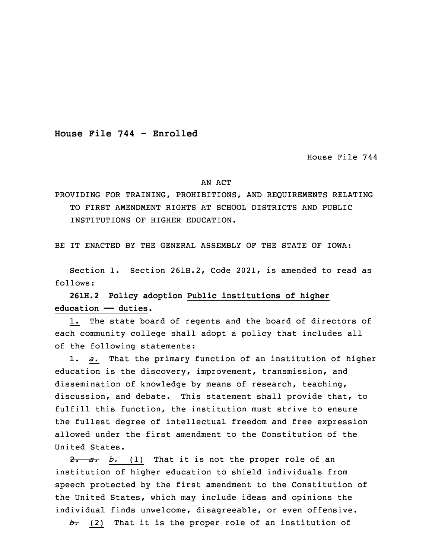**House File 744 - Enrolled**

House File 744

## AN ACT

PROVIDING FOR TRAINING, PROHIBITIONS, AND REQUIREMENTS RELATING TO FIRST AMENDMENT RIGHTS AT SCHOOL DISTRICTS AND PUBLIC INSTITUTIONS OF HIGHER EDUCATION.

BE IT ENACTED BY THE GENERAL ASSEMBLY OF THE STATE OF IOWA:

 Section 1. Section 261H.2, Code 2021, is amended to read as follows:

## 3 **261H.2 Policy adoption Public institutions of higher education —— duties.**

1. The state board of regents and the board of directors of each community college shall adopt a policy that includes all of the following statements:

8 1. *a.* That the primary function of an institution of higher education is the discovery, improvement, transmission, and dissemination of knowledge by means of research, teaching, discussion, and debate. This statement shall provide that, to fulfill this function, the institution must strive to ensure the fullest degree of intellectual freedom and free expression allowed under the first amendment to the Constitution of the United States.

2. a. b. (1) That it is not the proper role of an institution of higher education to shield individuals from speech protected by the first amendment to the Constitution of the United States, which may include ideas and opinions the individual finds unwelcome, disagreeable, or even offensive.

*b.* (2) That it is the proper role of an institution of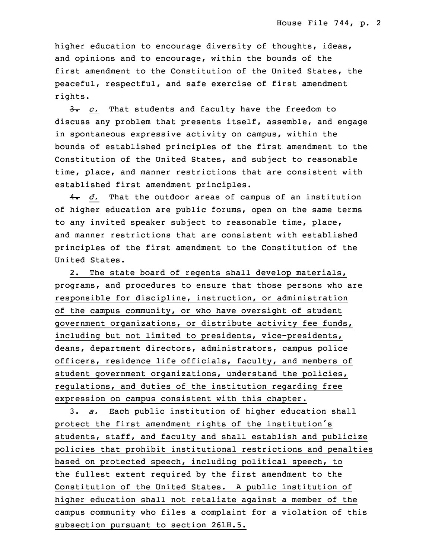higher education to encourage diversity of thoughts, ideas, and opinions and to encourage, within the bounds of the first amendment to the Constitution of the United States, the peaceful, respectful, and safe exercise of first amendment rights.

3. *c.* That students and faculty have the freedom to discuss any problem that presents itself, assemble, and engage in spontaneous expressive activity on campus, within the bounds of established principles of the first amendment to the Constitution of the United States, and subject to reasonable time, place, and manner restrictions that are consistent with established first amendment principles.

4. *d.* That the outdoor areas of campus of an institution of higher education are public forums, open on the same terms to any invited speaker subject to reasonable time, place, and manner restrictions that are consistent with established principles of the first amendment to the Constitution of the United States.

2. The state board of regents shall develop materials, programs, and procedures to ensure that those persons who are responsible for discipline, instruction, or administration of the campus community, or who have oversight of student government organizations, or distribute activity fee funds, including but not limited to presidents, vice-presidents, deans, department directors, administrators, campus police officers, residence life officials, faculty, and members of student government organizations, understand the policies, regulations, and duties of the institution regarding free expression on campus consistent with this chapter.

16 3. *a.* Each public institution of higher education shall protect the first amendment rights of the institution's students, staff, and faculty and shall establish and publicize 19 policies that prohibit institutional restrictions and penalties based on protected speech, including political speech, to the fullest extent required by the first amendment to the Constitution of the United States. <sup>A</sup> public institution of higher education shall not retaliate against a member of the campus community who files <sup>a</sup> complaint for <sup>a</sup> violation of this subsection pursuant to section 261H.5.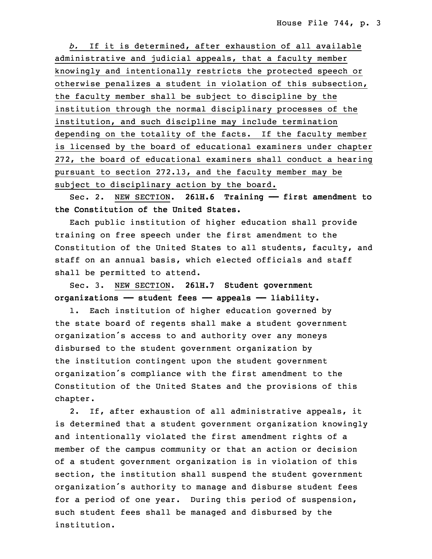26 *b.* If it is determined, after exhaustion of all available administrative and judicial appeals, that a faculty member 28 knowingly and intentionally restricts the protected speech or otherwise penalizes a student in violation of this subsection, the faculty member shall be subject to discipline by the institution through the normal disciplinary processes of the institution, and such discipline may include termination depending on the totality of the facts. If the faculty member is licensed by the board of educational examiners under chapter 272, the board of educational examiners shall conduct a hearing pursuant to section 272.13, and the faculty member may be subject to disciplinary action by the board.

3 Sec. 2. NEW SECTION. **261H.6 Training —— first amendment to the Constitution of the United States.**

5 Each public institution of higher education shall provide training on free speech under the first amendment to the Constitution of the United States to all students, faculty, and staff on an annual basis, which elected officials and staff shall be permitted to attend.

10 Sec. 3. NEW SECTION. **261H.7 Student government organizations —— student fees —— appeals —— liability.**

 1. Each institution of higher education governed by the state board of regents shall make a student government organization's access to and authority over any moneys disbursed to the student government organization by the institution contingent upon the student government organization's compliance with the first amendment to the Constitution of the United States and the provisions of this chapter.

2. If, after exhaustion of all administrative appeals, it is determined that <sup>a</sup> student government organization knowingly and intentionally violated the first amendment rights of <sup>a</sup> member of the campus community or that an action or decision of <sup>a</sup> student government organization is in violation of this section, the institution shall suspend the student government organization's authority to manage and disburse student fees for a period of one year. During this period of suspension, such student fees shall be managed and disbursed by the institution.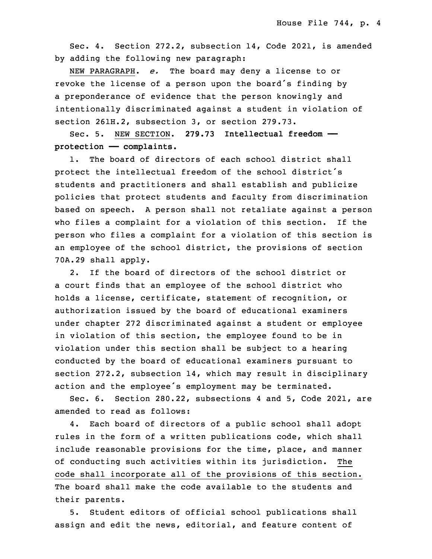Sec. 4. Section 272.2, subsection 14, Code 2021, is amended by adding the following new paragraph:

32 NEW PARAGRAPH. *e.* The board may deny <sup>a</sup> license to or revoke the license of a person upon the board's finding by a preponderance of evidence that the person knowingly and intentionally discriminated against a student in violation of section 261H.2, subsection 3, or section 279.73.

 Sec. 5. NEW SECTION. **279.73 Intellectual freedom ——** 3 **protection —— complaints.**

 1. The board of directors of each school district shall protect the intellectual freedom of the school district's students and practitioners and shall establish and publicize 7 policies that protect students and faculty from discrimination based on speech. A person shall not retaliate against a person who files a complaint for a violation of this section. If the person who files a complaint for a violation of this section is an employee of the school district, the provisions of section 70A.29 shall apply.

2. If the board of directors of the school district or <sup>a</sup> court finds that an employee of the school district who holds a license, certificate, statement of recognition, or authorization issued by the board of educational examiners under chapter 272 discriminated against a student or employee in violation of this section, the employee found to be in violation under this section shall be subject to a hearing conducted by the board of educational examiners pursuant to section 272.2, subsection 14, which may result in disciplinary action and the employee's employment may be terminated.

Sec. 6. Section 280.22, subsections 4 and 5, Code 2021, are amended to read as follows:

4. Each board of directors of a public school shall adopt rules in the form of a written publications code, which shall include reasonable provisions for the time, place, and manner of conducting such activities within its jurisdiction. The code shall incorporate all of the provisions of this section. The board shall make the code available to the students and their parents.

5. Student editors of official school publications shall assign and edit the news, editorial, and feature content of